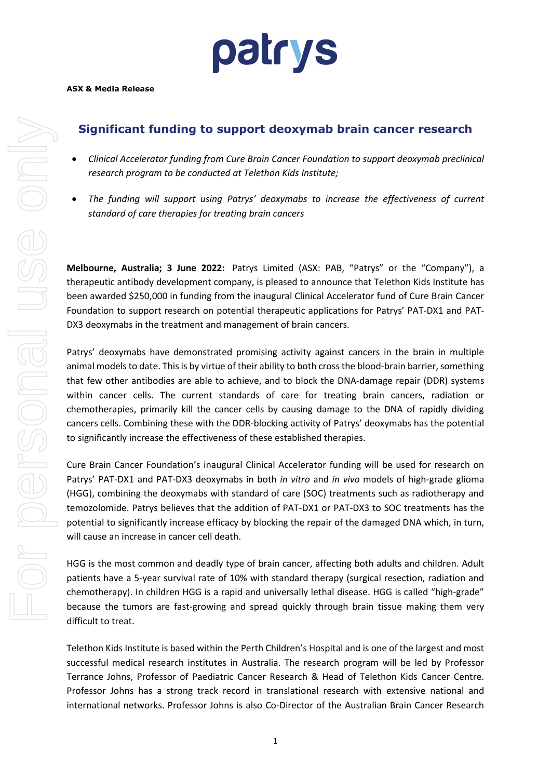

### **Significant funding to support deoxymab brain cancer research**

- *Clinical Accelerator funding from Cure Brain Cancer Foundation to support deoxymab preclinical research program to be conducted at Telethon Kids Institute;*
- *The funding will support using Patrys' deoxymabs to increase the effectiveness of current standard of care therapies for treating brain cancers*

**Melbourne, Australia; 3 June 2022:** Patrys Limited (ASX: PAB, "Patrys" or the "Company"), a therapeutic antibody development company, is pleased to announce that Telethon Kids Institute has been awarded \$250,000 in funding from the inaugural Clinical Accelerator fund of Cure Brain Cancer Foundation to support research on potential therapeutic applications for Patrys' PAT-DX1 and PAT-DX3 deoxymabs in the treatment and management of brain cancers.

Patrys' deoxymabs have demonstrated promising activity against cancers in the brain in multiple animal models to date. This is by virtue of their ability to both cross the blood-brain barrier, something that few other antibodies are able to achieve, and to block the DNA-damage repair (DDR) systems within cancer cells. The current standards of care for treating brain cancers, radiation or chemotherapies, primarily kill the cancer cells by causing damage to the DNA of rapidly dividing cancers cells. Combining these with the DDR-blocking activity of Patrys' deoxymabs has the potential to significantly increase the effectiveness of these established therapies.

Cure Brain Cancer Foundation's inaugural Clinical Accelerator funding will be used for research on Patrys' PAT-DX1 and PAT-DX3 deoxymabs in both *in vitro* and *in vivo* models of high-grade glioma (HGG), combining the deoxymabs with standard of care (SOC) treatments such as radiotherapy and temozolomide. Patrys believes that the addition of PAT-DX1 or PAT-DX3 to SOC treatments has the potential to significantly increase efficacy by blocking the repair of the damaged DNA which, in turn, will cause an increase in cancer cell death.

HGG is the most common and deadly type of brain cancer, affecting both adults and children. Adult patients have a 5-year survival rate of 10% with standard therapy (surgical resection, radiation and chemotherapy). In children HGG is a rapid and universally lethal disease. HGG is called "high-grade" because the tumors are fast-growing and spread quickly through brain tissue making them very difficult to treat.

Telethon Kids Institute is based within the Perth Children's Hospital and is one of the largest and most successful medical research institutes in Australia. The research program will be led by Professor Terrance Johns, Professor of Paediatric Cancer Research & Head of Telethon Kids Cancer Centre. Professor Johns has a strong track record in translational research with extensive national and international networks. Professor Johns is also Co-Director of the Australian Brain Cancer Research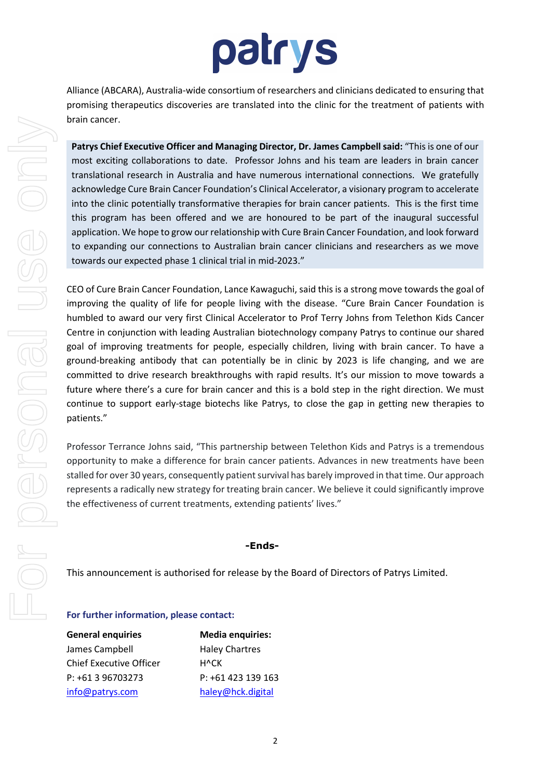# patrys

Alliance (ABCARA), Australia-wide consortium of researchers and clinicians dedicated to ensuring that promising therapeutics discoveries are translated into the clinic for the treatment of patients with brain cancer.

**Patrys Chief Executive Officer and Managing Director, Dr. James Campbell said:** "This is one of our most exciting collaborations to date. Professor Johns and his team are leaders in brain cancer translational research in Australia and have numerous international connections. We gratefully acknowledge Cure Brain Cancer Foundation's Clinical Accelerator, a visionary program to accelerate into the clinic potentially transformative therapies for brain cancer patients. This is the first time this program has been offered and we are honoured to be part of the inaugural successful application. We hope to grow our relationship with Cure Brain Cancer Foundation, and look forward to expanding our connections to Australian brain cancer clinicians and researchers as we move towards our expected phase 1 clinical trial in mid-2023."

CEO of Cure Brain Cancer Foundation, Lance Kawaguchi, said this is a strong move towards the goal of improving the quality of life for people living with the disease. "Cure Brain Cancer Foundation is humbled to award our very first Clinical Accelerator to Prof Terry Johns from Telethon Kids Cancer Centre in conjunction with leading Australian biotechnology company Patrys to continue our shared goal of improving treatments for people, especially children, living with brain cancer. To have a ground-breaking antibody that can potentially be in clinic by 2023 is life changing, and we are committed to drive research breakthroughs with rapid results. It's our mission to move towards a future where there's a cure for brain cancer and this is a bold step in the right direction. We must continue to support early-stage biotechs like Patrys, to close the gap in getting new therapies to patients."

Professor Terrance Johns said, "This partnership between Telethon Kids and Patrys is a tremendous opportunity to make a difference for brain cancer patients. Advances in new treatments have been stalled for over 30 years, consequently patient survival has barely improved in that time. Our approach represents a radically new strategy for treating brain cancer. We believe it could significantly improve the effectiveness of current treatments, extending patients' lives."

#### **-Ends-**

This announcement is authorised for release by the Board of Directors of Patrys Limited.

#### **For further information, please contact:**

General enquiries **Media enquiries:** James Campbell **Haley Chartres** Chief Executive Officer H^CK P: +61 3 96703273 P: +61 423 139 163 [info@patrys.com](mailto:info@patrys.com) [haley@hck.digital](mailto:kwilliamson@we-buchan.com)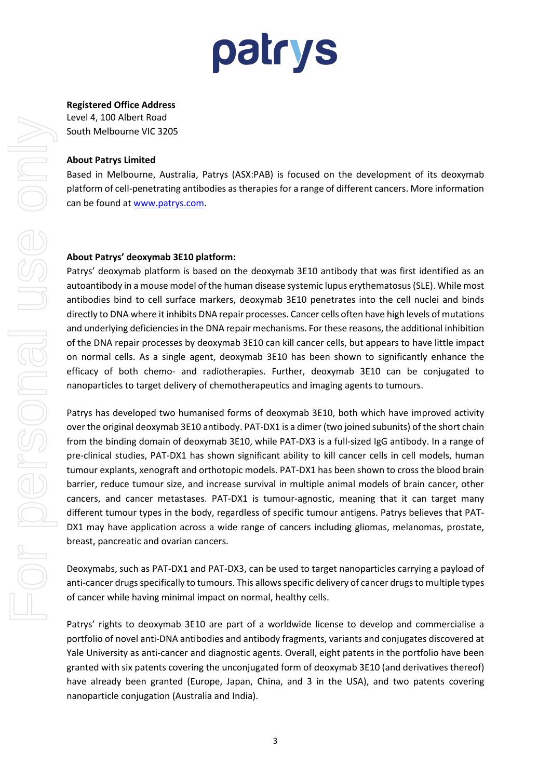

#### **Registered Office Address**

Level 4, 100 Albert Road South Melbourne VIC 3205

#### **About Patrys Limited**

Based in Melbourne, Australia, Patrys (ASX:PAB) is focused on the development of its deoxymab platform of cell-penetrating antibodies as therapies for a range of different cancers. More information can be found at [www.patrys.com.](http://www.patrys.com/)

#### **About Patrys' deoxymab 3E10 platform:**

Patrys' deoxymab platform is based on the deoxymab 3E10 antibody that was first identified as an autoantibody in a mouse model of the human disease systemic lupus erythematosus (SLE). While most antibodies bind to cell surface markers, deoxymab 3E10 penetrates into the cell nuclei and binds directly to DNA where it inhibits DNA repair processes. Cancer cells often have high levels of mutations and underlying deficiencies in the DNA repair mechanisms. For these reasons, the additional inhibition of the DNA repair processes by deoxymab 3E10 can kill cancer cells, but appears to have little impact on normal cells. As a single agent, deoxymab 3E10 has been shown to significantly enhance the efficacy of both chemo- and radiotherapies. Further, deoxymab 3E10 can be conjugated to nanoparticles to target delivery of chemotherapeutics and imaging agents to tumours.

Patrys has developed two humanised forms of deoxymab 3E10, both which have improved activity over the original deoxymab 3E10 antibody. PAT-DX1 is a dimer (two joined subunits) of the short chain from the binding domain of deoxymab 3E10, while PAT-DX3 is a full-sized IgG antibody. In a range of pre-clinical studies, PAT-DX1 has shown significant ability to kill cancer cells in cell models, human tumour explants, xenograft and orthotopic models. PAT-DX1 has been shown to cross the blood brain barrier, reduce tumour size, and increase survival in multiple animal models of brain cancer, other cancers, and cancer metastases. PAT-DX1 is tumour-agnostic, meaning that it can target many different tumour types in the body, regardless of specific tumour antigens. Patrys believes that PAT-DX1 may have application across a wide range of cancers including gliomas, melanomas, prostate, breast, pancreatic and ovarian cancers.

Deoxymabs, such as PAT-DX1 and PAT-DX3, can be used to target nanoparticles carrying a payload of anti-cancer drugs specifically to tumours. This allows specific delivery of cancer drugs to multiple types of cancer while having minimal impact on normal, healthy cells.

Patrys' rights to deoxymab 3E10 are part of a worldwide license to develop and commercialise a portfolio of novel anti-DNA antibodies and antibody fragments, variants and conjugates discovered at Yale University as anti-cancer and diagnostic agents. Overall, eight patents in the portfolio have been granted with six patents covering the unconjugated form of deoxymab 3E10 (and derivatives thereof) have already been granted (Europe, Japan, China, and 3 in the USA), and two patents covering nanoparticle conjugation (Australia and India).